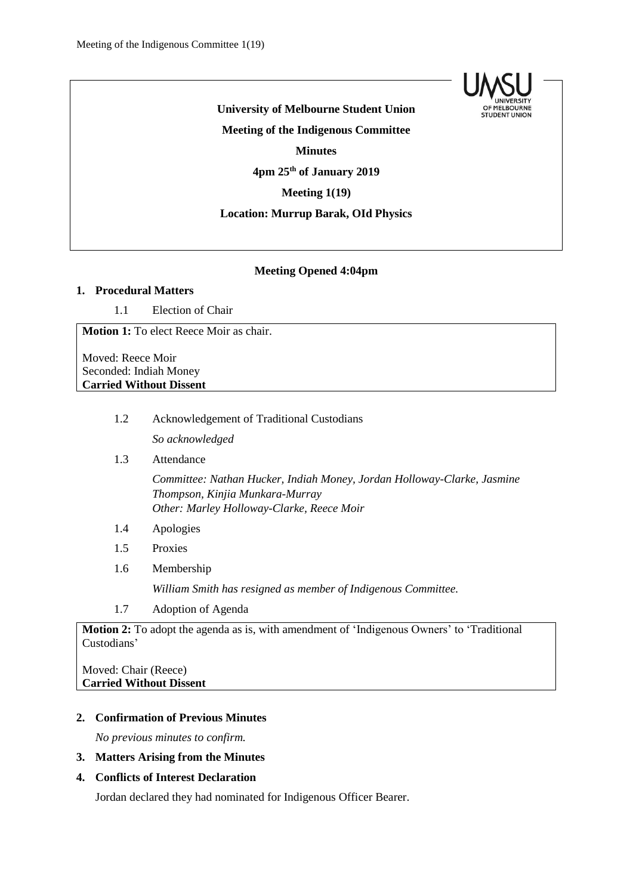

**University of Melbourne Student Union Meeting of the Indigenous Committee Minutes 4pm 25th of January 2019 Meeting 1(19) Location: Murrup Barak, OId Physics**

#### **Meeting Opened 4:04pm**

# **1. Procedural Matters**

1.1 Election of Chair

**Motion 1:** To elect Reece Moir as chair.

Moved: Reece Moir Seconded: Indiah Money **Carried Without Dissent**

1.2 Acknowledgement of Traditional Custodians

*So acknowledged*

1.3 Attendance

*Committee: Nathan Hucker, Indiah Money, Jordan Holloway-Clarke, Jasmine Thompson, Kinjia Munkara-Murray Other: Marley Holloway-Clarke, Reece Moir*

- 1.4 Apologies
- 1.5 Proxies
- 1.6 Membership

*William Smith has resigned as member of Indigenous Committee.* 

1.7 Adoption of Agenda

**Motion 2:** To adopt the agenda as is, with amendment of 'Indigenous Owners' to 'Traditional Custodians'

Moved: Chair (Reece) **Carried Without Dissent**

### **2. Confirmation of Previous Minutes**

*No previous minutes to confirm.*

**3. Matters Arising from the Minutes** 

### **4. Conflicts of Interest Declaration**

Jordan declared they had nominated for Indigenous Officer Bearer.